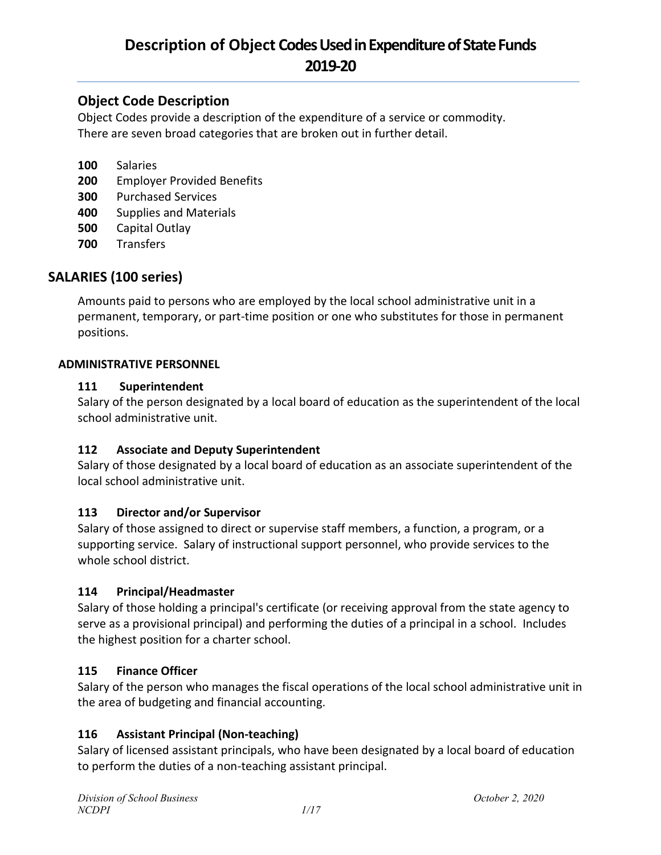## **Object Code Description**

Object Codes provide a description of the expenditure of a service or commodity. There are seven broad categories that are broken out in further detail.

- **100** Salaries
- **200** Employer Provided Benefits
- **300** Purchased Services
- **400** Supplies and Materials
- **500** Capital Outlay
- **700** Transfers

## **SALARIES (100 series)**

Amounts paid to persons who are employed by the local school administrative unit in a permanent, temporary, or part-time position or one who substitutes for those in permanent positions.

#### **ADMINISTRATIVE PERSONNEL**

#### **111 Superintendent**

Salary of the person designated by a local board of education as the superintendent of the local school administrative unit.

#### **112 Associate and Deputy Superintendent**

Salary of those designated by a local board of education as an associate superintendent of the local school administrative unit.

#### **113 Director and/or Supervisor**

Salary of those assigned to direct or supervise staff members, a function, a program, or a supporting service. Salary of instructional support personnel, who provide services to the whole school district.

#### **114 Principal/Headmaster**

Salary of those holding a principal's certificate (or receiving approval from the state agency to serve as a provisional principal) and performing the duties of a principal in a school. Includes the highest position for a charter school.

#### **115 Finance Officer**

Salary of the person who manages the fiscal operations of the local school administrative unit in the area of budgeting and financial accounting.

#### **116 Assistant Principal (Non-teaching)**

Salary of licensed assistant principals, who have been designated by a local board of education to perform the duties of a non-teaching assistant principal.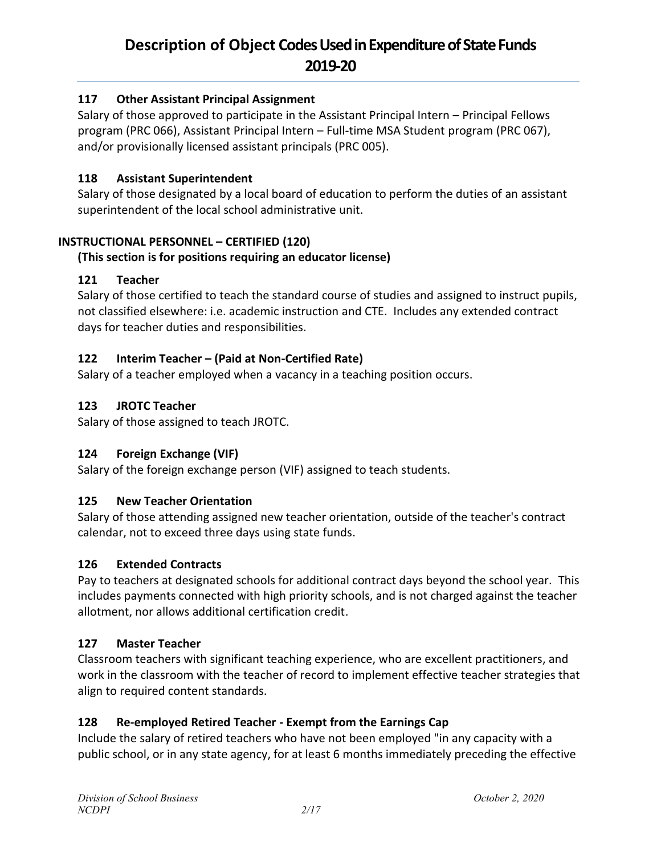## **117 Other Assistant Principal Assignment**

Salary of those approved to participate in the Assistant Principal Intern – Principal Fellows program (PRC 066), Assistant Principal Intern – Full-time MSA Student program (PRC 067), and/or provisionally licensed assistant principals (PRC 005).

#### **118 Assistant Superintendent**

Salary of those designated by a local board of education to perform the duties of an assistant superintendent of the local school administrative unit.

#### **INSTRUCTIONAL PERSONNEL – CERTIFIED (120)**

#### **(This section is for positions requiring an educator license)**

#### **121 Teacher**

Salary of those certified to teach the standard course of studies and assigned to instruct pupils, not classified elsewhere: i.e. academic instruction and CTE. Includes any extended contract days for teacher duties and responsibilities.

#### **122 Interim Teacher – (Paid at Non-Certified Rate)**

Salary of a teacher employed when a vacancy in a teaching position occurs.

#### **123 JROTC Teacher**

Salary of those assigned to teach JROTC.

#### **124 Foreign Exchange (VIF)**

Salary of the foreign exchange person (VIF) assigned to teach students.

#### **125 New Teacher Orientation**

Salary of those attending assigned new teacher orientation, outside of the teacher's contract calendar, not to exceed three days using state funds.

#### **126 Extended Contracts**

Pay to teachers at designated schools for additional contract days beyond the school year. This includes payments connected with high priority schools, and is not charged against the teacher allotment, nor allows additional certification credit.

#### **127 Master Teacher**

Classroom teachers with significant teaching experience, who are excellent practitioners, and work in the classroom with the teacher of record to implement effective teacher strategies that align to required content standards.

#### **128 Re-employed Retired Teacher - Exempt from the Earnings Cap**

Include the salary of retired teachers who have not been employed "in any capacity with a public school, or in any state agency, for at least 6 months immediately preceding the effective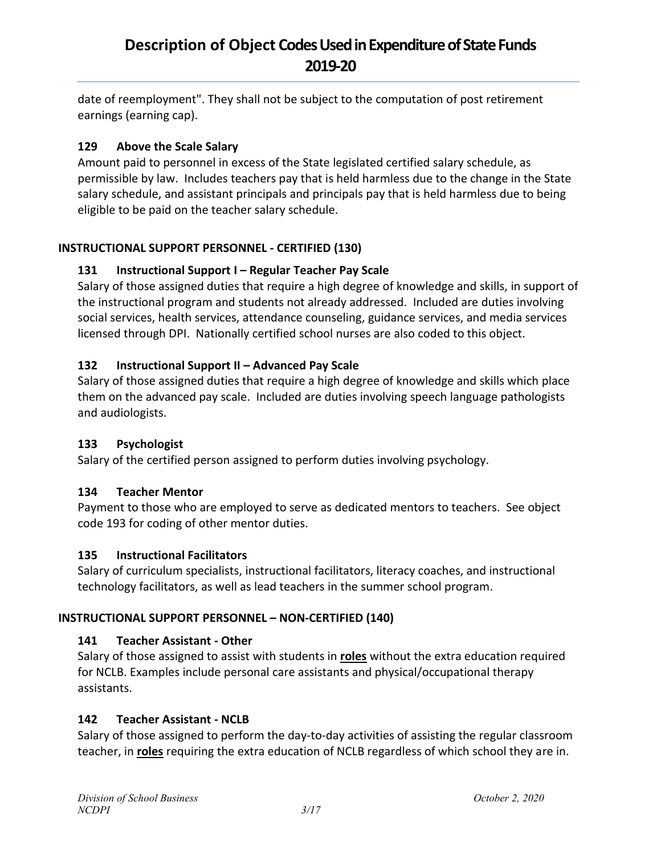date of reemployment". They shall not be subject to the computation of post retirement earnings (earning cap).

## **129 Above the Scale Salary**

Amount paid to personnel in excess of the State legislated certified salary schedule, as permissible by law. Includes teachers pay that is held harmless due to the change in the State salary schedule, and assistant principals and principals pay that is held harmless due to being eligible to be paid on the teacher salary schedule.

## **INSTRUCTIONAL SUPPORT PERSONNEL - CERTIFIED (130)**

## **131 Instructional Support I – Regular Teacher Pay Scale**

Salary of those assigned duties that require a high degree of knowledge and skills, in support of the instructional program and students not already addressed. Included are duties involving social services, health services, attendance counseling, guidance services, and media services licensed through DPI. Nationally certified school nurses are also coded to this object.

## **132 Instructional Support II – Advanced Pay Scale**

Salary of those assigned duties that require a high degree of knowledge and skills which place them on the advanced pay scale. Included are duties involving speech language pathologists and audiologists.

## **133 Psychologist**

Salary of the certified person assigned to perform duties involving psychology.

## **134 Teacher Mentor**

Payment to those who are employed to serve as dedicated mentors to teachers. See object code 193 for coding of other mentor duties.

## **135 Instructional Facilitators**

Salary of curriculum specialists, instructional facilitators, literacy coaches, and instructional technology facilitators, as well as lead teachers in the summer school program.

## **INSTRUCTIONAL SUPPORT PERSONNEL – NON-CERTIFIED (140)**

## **141 Teacher Assistant - Other**

Salary of those assigned to assist with students in **roles** without the extra education required for NCLB. Examples include personal care assistants and physical/occupational therapy assistants.

## **142 Teacher Assistant - NCLB**

Salary of those assigned to perform the day-to-day activities of assisting the regular classroom teacher, in **roles** requiring the extra education of NCLB regardless of which school they are in.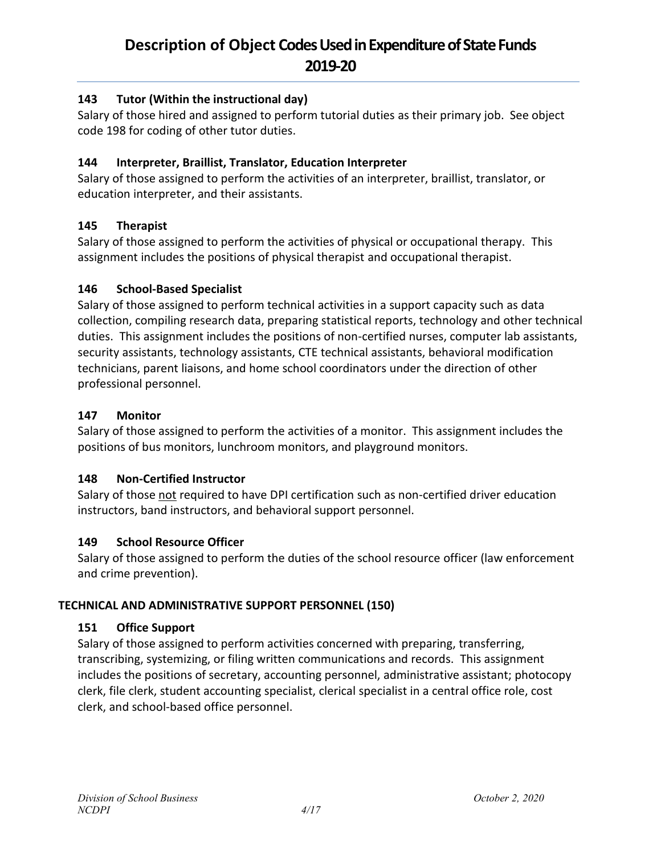## **143 Tutor (Within the instructional day)**

Salary of those hired and assigned to perform tutorial duties as their primary job. See object code 198 for coding of other tutor duties.

## **144 Interpreter, Braillist, Translator, Education Interpreter**

Salary of those assigned to perform the activities of an interpreter, braillist, translator, or education interpreter, and their assistants.

## **145 Therapist**

Salary of those assigned to perform the activities of physical or occupational therapy. This assignment includes the positions of physical therapist and occupational therapist.

## **146 School-Based Specialist**

Salary of those assigned to perform technical activities in a support capacity such as data collection, compiling research data, preparing statistical reports, technology and other technical duties. This assignment includes the positions of non-certified nurses, computer lab assistants, security assistants, technology assistants, CTE technical assistants, behavioral modification technicians, parent liaisons, and home school coordinators under the direction of other professional personnel.

## **147 Monitor**

Salary of those assigned to perform the activities of a monitor. This assignment includes the positions of bus monitors, lunchroom monitors, and playground monitors.

## **148 Non-Certified Instructor**

Salary of those not required to have DPI certification such as non-certified driver education instructors, band instructors, and behavioral support personnel.

## **149 School Resource Officer**

Salary of those assigned to perform the duties of the school resource officer (law enforcement and crime prevention).

## **TECHNICAL AND ADMINISTRATIVE SUPPORT PERSONNEL (150)**

## **151 Office Support**

Salary of those assigned to perform activities concerned with preparing, transferring, transcribing, systemizing, or filing written communications and records. This assignment includes the positions of secretary, accounting personnel, administrative assistant; photocopy clerk, file clerk, student accounting specialist, clerical specialist in a central office role, cost clerk, and school-based office personnel.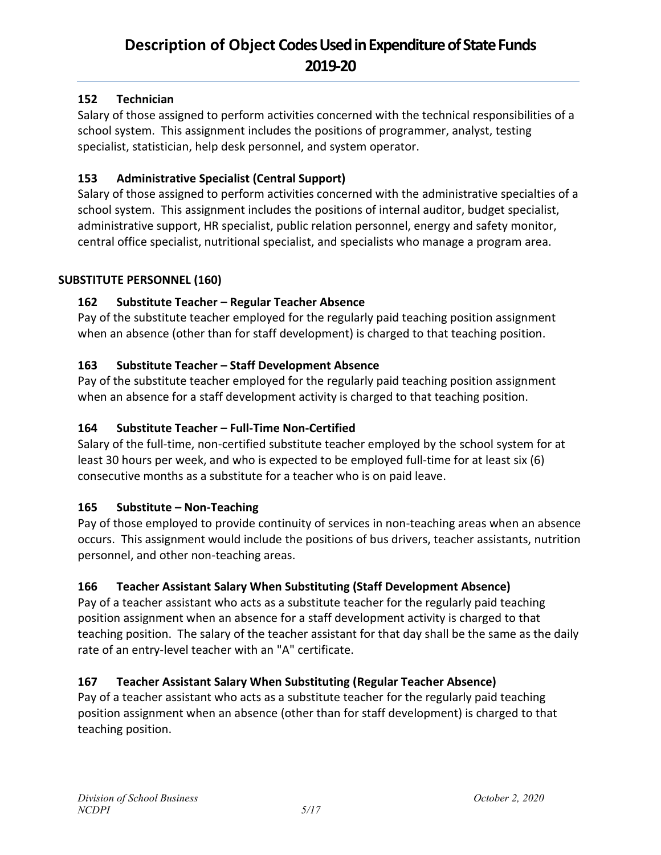## **152 Technician**

Salary of those assigned to perform activities concerned with the technical responsibilities of a school system. This assignment includes the positions of programmer, analyst, testing specialist, statistician, help desk personnel, and system operator.

## **153 Administrative Specialist (Central Support)**

Salary of those assigned to perform activities concerned with the administrative specialties of a school system. This assignment includes the positions of internal auditor, budget specialist, administrative support, HR specialist, public relation personnel, energy and safety monitor, central office specialist, nutritional specialist, and specialists who manage a program area.

#### **SUBSTITUTE PERSONNEL (160)**

## **162 Substitute Teacher – Regular Teacher Absence**

Pay of the substitute teacher employed for the regularly paid teaching position assignment when an absence (other than for staff development) is charged to that teaching position.

## **163 Substitute Teacher – Staff Development Absence**

Pay of the substitute teacher employed for the regularly paid teaching position assignment when an absence for a staff development activity is charged to that teaching position.

#### **164 Substitute Teacher – Full-Time Non-Certified**

Salary of the full-time, non-certified substitute teacher employed by the school system for at least 30 hours per week, and who is expected to be employed full-time for at least six (6) consecutive months as a substitute for a teacher who is on paid leave.

#### **165 Substitute – Non-Teaching**

Pay of those employed to provide continuity of services in non-teaching areas when an absence occurs. This assignment would include the positions of bus drivers, teacher assistants, nutrition personnel, and other non-teaching areas.

#### **166 Teacher Assistant Salary When Substituting (Staff Development Absence)**

Pay of a teacher assistant who acts as a substitute teacher for the regularly paid teaching position assignment when an absence for a staff development activity is charged to that teaching position. The salary of the teacher assistant for that day shall be the same as the daily rate of an entry-level teacher with an "A" certificate.

#### **167 Teacher Assistant Salary When Substituting (Regular Teacher Absence)**

Pay of a teacher assistant who acts as a substitute teacher for the regularly paid teaching position assignment when an absence (other than for staff development) is charged to that teaching position.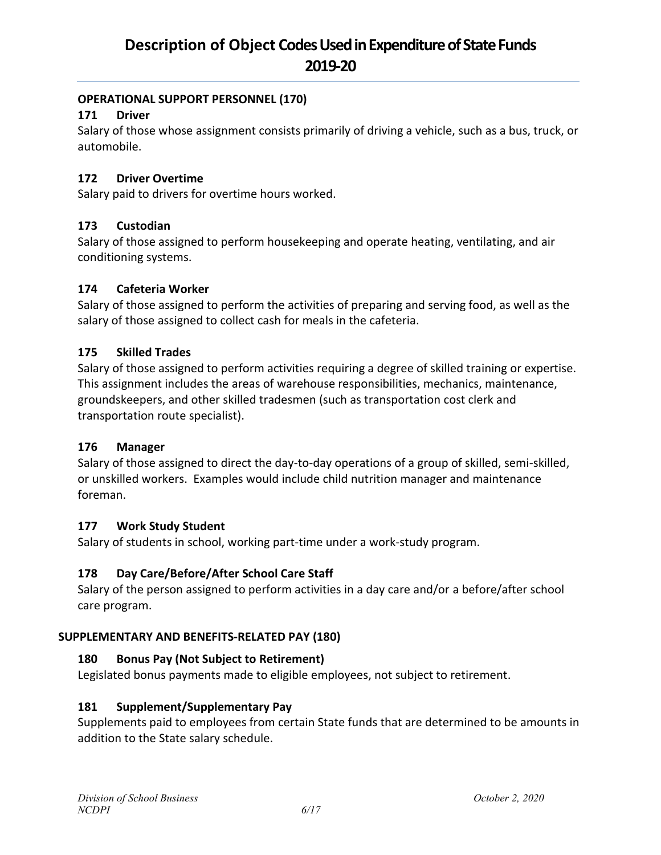## **OPERATIONAL SUPPORT PERSONNEL (170)**

## **171 Driver**

Salary of those whose assignment consists primarily of driving a vehicle, such as a bus, truck, or automobile.

## **172 Driver Overtime**

Salary paid to drivers for overtime hours worked.

## **173 Custodian**

Salary of those assigned to perform housekeeping and operate heating, ventilating, and air conditioning systems.

## **174 Cafeteria Worker**

Salary of those assigned to perform the activities of preparing and serving food, as well as the salary of those assigned to collect cash for meals in the cafeteria.

## **175 Skilled Trades**

Salary of those assigned to perform activities requiring a degree of skilled training or expertise. This assignment includes the areas of warehouse responsibilities, mechanics, maintenance, groundskeepers, and other skilled tradesmen (such as transportation cost clerk and transportation route specialist).

#### **176 Manager**

Salary of those assigned to direct the day-to-day operations of a group of skilled, semi-skilled, or unskilled workers. Examples would include child nutrition manager and maintenance foreman.

#### **177 Work Study Student**

Salary of students in school, working part-time under a work-study program.

## **178 Day Care/Before/After School Care Staff**

Salary of the person assigned to perform activities in a day care and/or a before/after school care program.

#### **SUPPLEMENTARY AND BENEFITS-RELATED PAY (180)**

#### **180 Bonus Pay (Not Subject to Retirement)**

Legislated bonus payments made to eligible employees, not subject to retirement.

#### **181 Supplement/Supplementary Pay**

Supplements paid to employees from certain State funds that are determined to be amounts in addition to the State salary schedule.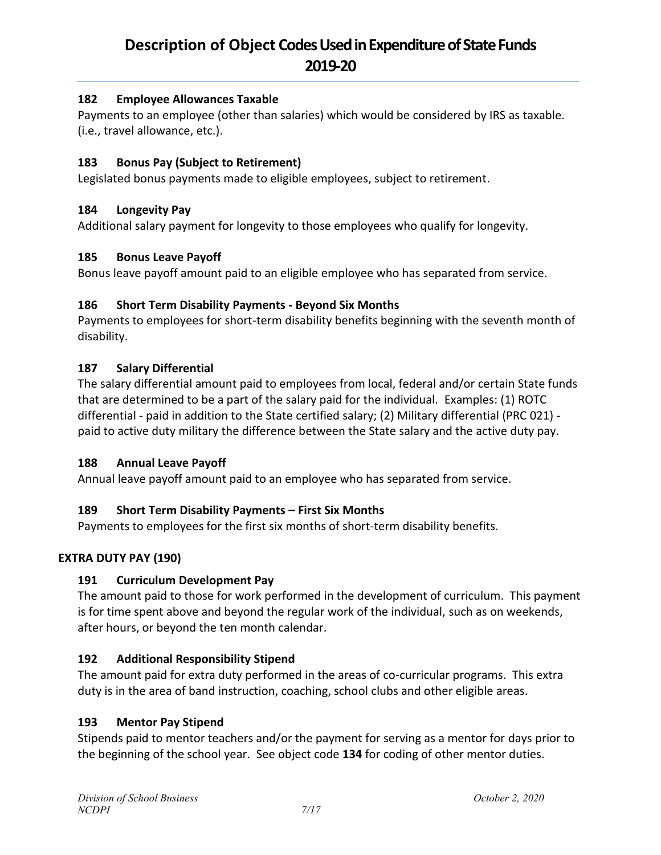## **182 Employee Allowances Taxable**

Payments to an employee (other than salaries) which would be considered by IRS as taxable. (i.e., travel allowance, etc.).

## **183 Bonus Pay (Subject to Retirement)**

Legislated bonus payments made to eligible employees, subject to retirement.

#### **184 Longevity Pay**

Additional salary payment for longevity to those employees who qualify for longevity.

## **185 Bonus Leave Payoff**

Bonus leave payoff amount paid to an eligible employee who has separated from service.

## **186 Short Term Disability Payments - Beyond Six Months**

Payments to employees for short-term disability benefits beginning with the seventh month of disability.

## **187 Salary Differential**

The salary differential amount paid to employees from local, federal and/or certain State funds that are determined to be a part of the salary paid for the individual. Examples: (1) ROTC differential - paid in addition to the State certified salary; (2) Military differential (PRC 021) paid to active duty military the difference between the State salary and the active duty pay.

#### **188 Annual Leave Payoff**

Annual leave payoff amount paid to an employee who has separated from service.

## **189 Short Term Disability Payments – First Six Months**

Payments to employees for the first six months of short-term disability benefits.

## **EXTRA DUTY PAY (190)**

#### **191 Curriculum Development Pay**

The amount paid to those for work performed in the development of curriculum. This payment is for time spent above and beyond the regular work of the individual, such as on weekends, after hours, or beyond the ten month calendar.

#### **192 Additional Responsibility Stipend**

The amount paid for extra duty performed in the areas of co-curricular programs. This extra duty is in the area of band instruction, coaching, school clubs and other eligible areas.

#### **193 Mentor Pay Stipend**

Stipends paid to mentor teachers and/or the payment for serving as a mentor for days prior to the beginning of the school year. See object code **134** for coding of other mentor duties.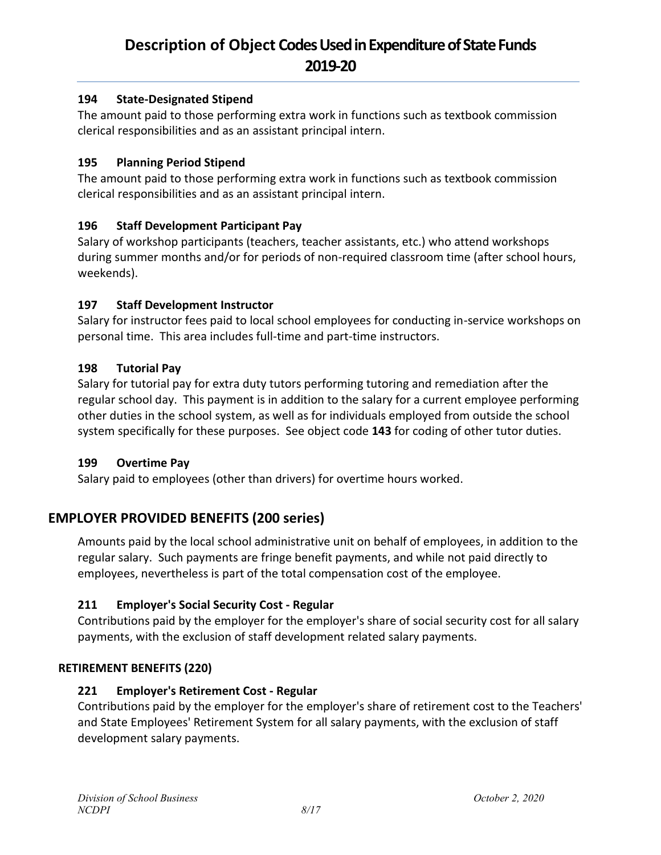## **194 State-Designated Stipend**

The amount paid to those performing extra work in functions such as textbook commission clerical responsibilities and as an assistant principal intern.

## **195 Planning Period Stipend**

The amount paid to those performing extra work in functions such as textbook commission clerical responsibilities and as an assistant principal intern.

## **196 Staff Development Participant Pay**

Salary of workshop participants (teachers, teacher assistants, etc.) who attend workshops during summer months and/or for periods of non-required classroom time (after school hours, weekends).

## **197 Staff Development Instructor**

Salary for instructor fees paid to local school employees for conducting in-service workshops on personal time. This area includes full-time and part-time instructors.

## **198 Tutorial Pay**

Salary for tutorial pay for extra duty tutors performing tutoring and remediation after the regular school day. This payment is in addition to the salary for a current employee performing other duties in the school system, as well as for individuals employed from outside the school system specifically for these purposes. See object code **143** for coding of other tutor duties.

#### **199 Overtime Pay**

Salary paid to employees (other than drivers) for overtime hours worked.

## **EMPLOYER PROVIDED BENEFITS (200 series)**

Amounts paid by the local school administrative unit on behalf of employees, in addition to the regular salary. Such payments are fringe benefit payments, and while not paid directly to employees, nevertheless is part of the total compensation cost of the employee.

## **211 Employer's Social Security Cost - Regular**

Contributions paid by the employer for the employer's share of social security cost for all salary payments, with the exclusion of staff development related salary payments.

## **RETIREMENT BENEFITS (220)**

## **221 Employer's Retirement Cost - Regular**

Contributions paid by the employer for the employer's share of retirement cost to the Teachers' and State Employees' Retirement System for all salary payments, with the exclusion of staff development salary payments.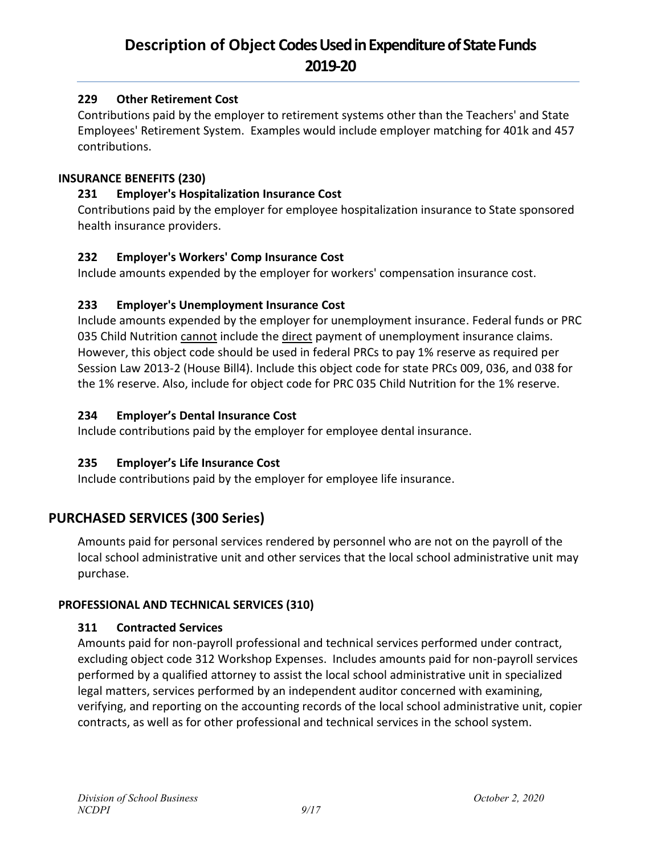## **229 Other Retirement Cost**

Contributions paid by the employer to retirement systems other than the Teachers' and State Employees' Retirement System. Examples would include employer matching for 401k and 457 contributions.

#### **INSURANCE BENEFITS (230)**

## **231 Employer's Hospitalization Insurance Cost**

Contributions paid by the employer for employee hospitalization insurance to State sponsored health insurance providers.

## **232 Employer's Workers' Comp Insurance Cost**

Include amounts expended by the employer for workers' compensation insurance cost.

## **233 Employer's Unemployment Insurance Cost**

Include amounts expended by the employer for unemployment insurance. Federal funds or PRC 035 Child Nutrition cannot include the direct payment of unemployment insurance claims. However, this object code should be used in federal PRCs to pay 1% reserve as required per Session Law 2013-2 (House Bill4). Include this object code for state PRCs 009, 036, and 038 for the 1% reserve. Also, include for object code for PRC 035 Child Nutrition for the 1% reserve.

## **234 Employer's Dental Insurance Cost**

Include contributions paid by the employer for employee dental insurance.

## **235 Employer's Life Insurance Cost**

Include contributions paid by the employer for employee life insurance.

## **PURCHASED SERVICES (300 Series)**

Amounts paid for personal services rendered by personnel who are not on the payroll of the local school administrative unit and other services that the local school administrative unit may purchase.

## **PROFESSIONAL AND TECHNICAL SERVICES (310)**

## **311 Contracted Services**

Amounts paid for non-payroll professional and technical services performed under contract, excluding object code 312 Workshop Expenses. Includes amounts paid for non-payroll services performed by a qualified attorney to assist the local school administrative unit in specialized legal matters, services performed by an independent auditor concerned with examining, verifying, and reporting on the accounting records of the local school administrative unit, copier contracts, as well as for other professional and technical services in the school system.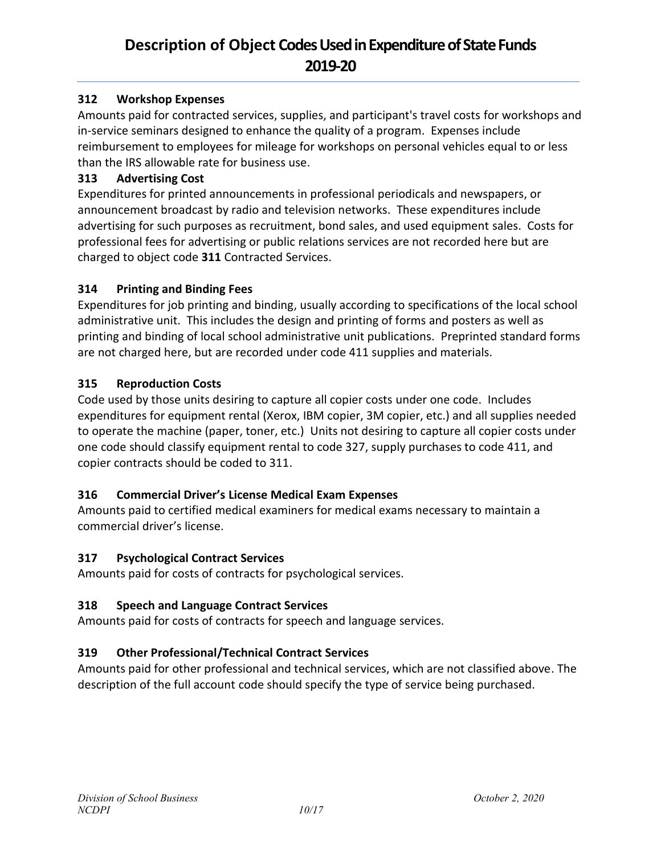## **312 Workshop Expenses**

Amounts paid for contracted services, supplies, and participant's travel costs for workshops and in-service seminars designed to enhance the quality of a program. Expenses include reimbursement to employees for mileage for workshops on personal vehicles equal to or less than the IRS allowable rate for business use.

## **313 Advertising Cost**

Expenditures for printed announcements in professional periodicals and newspapers, or announcement broadcast by radio and television networks. These expenditures include advertising for such purposes as recruitment, bond sales, and used equipment sales. Costs for professional fees for advertising or public relations services are not recorded here but are charged to object code **311** Contracted Services.

## **314 Printing and Binding Fees**

Expenditures for job printing and binding, usually according to specifications of the local school administrative unit. This includes the design and printing of forms and posters as well as printing and binding of local school administrative unit publications. Preprinted standard forms are not charged here, but are recorded under code 411 supplies and materials.

## **315 Reproduction Costs**

Code used by those units desiring to capture all copier costs under one code. Includes expenditures for equipment rental (Xerox, IBM copier, 3M copier, etc.) and all supplies needed to operate the machine (paper, toner, etc.) Units not desiring to capture all copier costs under one code should classify equipment rental to code 327, supply purchases to code 411, and copier contracts should be coded to 311.

## **316 Commercial Driver's License Medical Exam Expenses**

Amounts paid to certified medical examiners for medical exams necessary to maintain a commercial driver's license.

#### **317 Psychological Contract Services**

Amounts paid for costs of contracts for psychological services.

## **318 Speech and Language Contract Services**

Amounts paid for costs of contracts for speech and language services.

## **319 Other Professional/Technical Contract Services**

Amounts paid for other professional and technical services, which are not classified above. The description of the full account code should specify the type of service being purchased.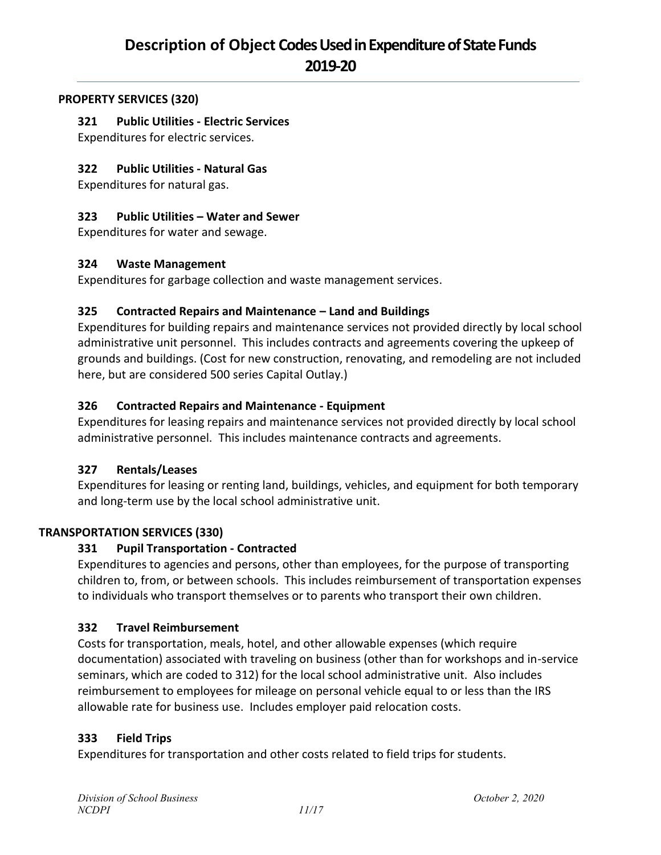#### **PROPERTY SERVICES (320)**

#### **321 Public Utilities - Electric Services**

Expenditures for electric services.

#### **322 Public Utilities - Natural Gas**

Expenditures for natural gas.

#### **323 Public Utilities – Water and Sewer**

Expenditures for water and sewage.

#### **324 Waste Management**

Expenditures for garbage collection and waste management services.

#### **325 Contracted Repairs and Maintenance – Land and Buildings**

Expenditures for building repairs and maintenance services not provided directly by local school administrative unit personnel. This includes contracts and agreements covering the upkeep of grounds and buildings. (Cost for new construction, renovating, and remodeling are not included here, but are considered 500 series Capital Outlay.)

#### **326 Contracted Repairs and Maintenance - Equipment**

Expenditures for leasing repairs and maintenance services not provided directly by local school administrative personnel. This includes maintenance contracts and agreements.

#### **327 Rentals/Leases**

Expenditures for leasing or renting land, buildings, vehicles, and equipment for both temporary and long-term use by the local school administrative unit.

#### **TRANSPORTATION SERVICES (330)**

#### **331 Pupil Transportation - Contracted**

Expenditures to agencies and persons, other than employees, for the purpose of transporting children to, from, or between schools. This includes reimbursement of transportation expenses to individuals who transport themselves or to parents who transport their own children.

#### **332 Travel Reimbursement**

Costs for transportation, meals, hotel, and other allowable expenses (which require documentation) associated with traveling on business (other than for workshops and in-service seminars, which are coded to 312) for the local school administrative unit. Also includes reimbursement to employees for mileage on personal vehicle equal to or less than the IRS allowable rate for business use. Includes employer paid relocation costs.

#### **333 Field Trips**

Expenditures for transportation and other costs related to field trips for students.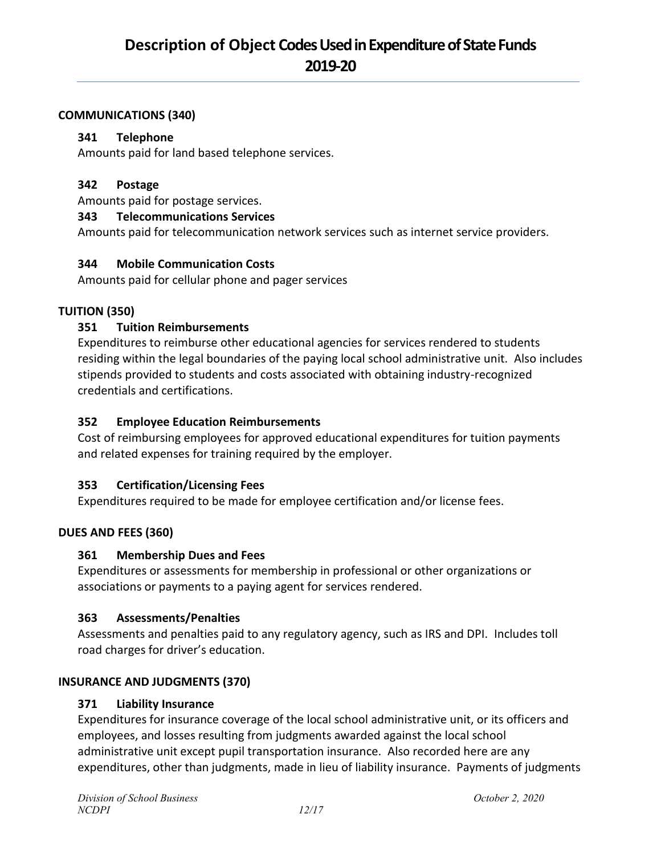#### **COMMUNICATIONS (340)**

#### **341 Telephone**

Amounts paid for land based telephone services.

#### **342 Postage**

Amounts paid for postage services.

#### **343 Telecommunications Services**

Amounts paid for telecommunication network services such as internet service providers.

#### **344 Mobile Communication Costs**

Amounts paid for cellular phone and pager services

#### **TUITION (350)**

#### **351 Tuition Reimbursements**

Expenditures to reimburse other educational agencies for services rendered to students residing within the legal boundaries of the paying local school administrative unit. Also includes stipends provided to students and costs associated with obtaining industry-recognized credentials and certifications.

#### **352 Employee Education Reimbursements**

Cost of reimbursing employees for approved educational expenditures for tuition payments and related expenses for training required by the employer.

#### **353 Certification/Licensing Fees**

Expenditures required to be made for employee certification and/or license fees.

#### **DUES AND FEES (360)**

#### **361 Membership Dues and Fees**

Expenditures or assessments for membership in professional or other organizations or associations or payments to a paying agent for services rendered.

#### **363 Assessments/Penalties**

Assessments and penalties paid to any regulatory agency, such as IRS and DPI. Includes toll road charges for driver's education.

#### **INSURANCE AND JUDGMENTS (370)**

#### **371 Liability Insurance**

Expenditures for insurance coverage of the local school administrative unit, or its officers and employees, and losses resulting from judgments awarded against the local school administrative unit except pupil transportation insurance. Also recorded here are any expenditures, other than judgments, made in lieu of liability insurance. Payments of judgments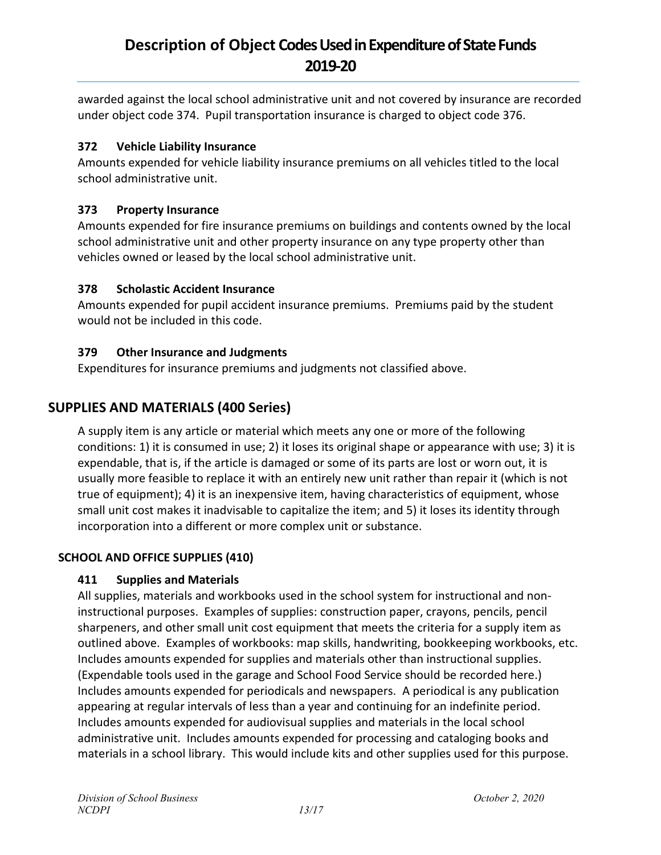awarded against the local school administrative unit and not covered by insurance are recorded under object code 374. Pupil transportation insurance is charged to object code 376.

## **372 Vehicle Liability Insurance**

Amounts expended for vehicle liability insurance premiums on all vehicles titled to the local school administrative unit.

## **373 Property Insurance**

Amounts expended for fire insurance premiums on buildings and contents owned by the local school administrative unit and other property insurance on any type property other than vehicles owned or leased by the local school administrative unit.

## **378 Scholastic Accident Insurance**

Amounts expended for pupil accident insurance premiums. Premiums paid by the student would not be included in this code.

## **379 Other Insurance and Judgments**

Expenditures for insurance premiums and judgments not classified above.

## **SUPPLIES AND MATERIALS (400 Series)**

A supply item is any article or material which meets any one or more of the following conditions: 1) it is consumed in use; 2) it loses its original shape or appearance with use; 3) it is expendable, that is, if the article is damaged or some of its parts are lost or worn out, it is usually more feasible to replace it with an entirely new unit rather than repair it (which is not true of equipment); 4) it is an inexpensive item, having characteristics of equipment, whose small unit cost makes it inadvisable to capitalize the item; and 5) it loses its identity through incorporation into a different or more complex unit or substance.

## **SCHOOL AND OFFICE SUPPLIES (410)**

## **411 Supplies and Materials**

All supplies, materials and workbooks used in the school system for instructional and noninstructional purposes. Examples of supplies: construction paper, crayons, pencils, pencil sharpeners, and other small unit cost equipment that meets the criteria for a supply item as outlined above. Examples of workbooks: map skills, handwriting, bookkeeping workbooks, etc. Includes amounts expended for supplies and materials other than instructional supplies. (Expendable tools used in the garage and School Food Service should be recorded here.) Includes amounts expended for periodicals and newspapers. A periodical is any publication appearing at regular intervals of less than a year and continuing for an indefinite period. Includes amounts expended for audiovisual supplies and materials in the local school administrative unit. Includes amounts expended for processing and cataloging books and materials in a school library. This would include kits and other supplies used for this purpose.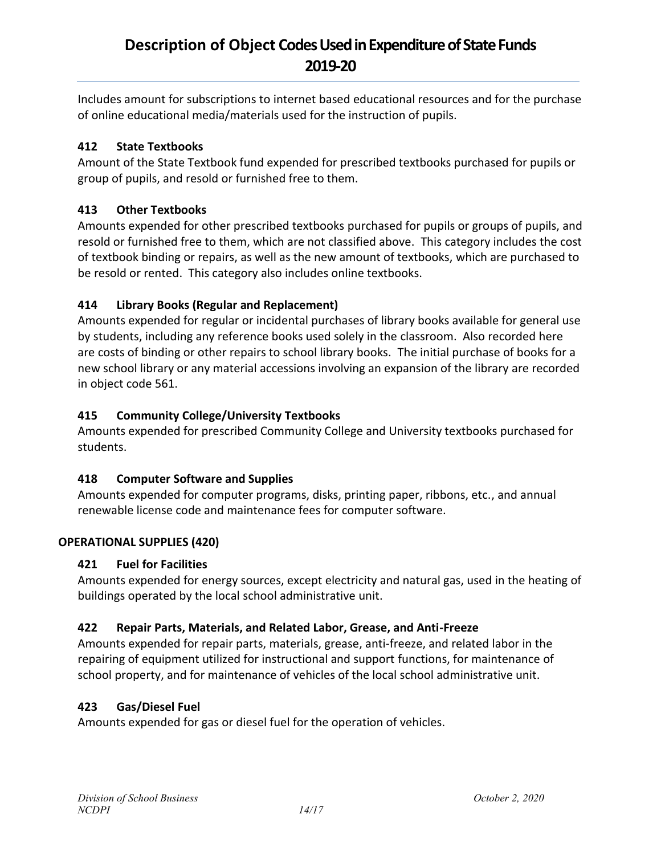Includes amount for subscriptions to internet based educational resources and for the purchase of online educational media/materials used for the instruction of pupils.

## **412 State Textbooks**

Amount of the State Textbook fund expended for prescribed textbooks purchased for pupils or group of pupils, and resold or furnished free to them.

## **413 Other Textbooks**

Amounts expended for other prescribed textbooks purchased for pupils or groups of pupils, and resold or furnished free to them, which are not classified above. This category includes the cost of textbook binding or repairs, as well as the new amount of textbooks, which are purchased to be resold or rented. This category also includes online textbooks.

## **414 Library Books (Regular and Replacement)**

Amounts expended for regular or incidental purchases of library books available for general use by students, including any reference books used solely in the classroom. Also recorded here are costs of binding or other repairs to school library books. The initial purchase of books for a new school library or any material accessions involving an expansion of the library are recorded in object code 561.

## **415 Community College/University Textbooks**

Amounts expended for prescribed Community College and University textbooks purchased for students.

## **418 Computer Software and Supplies**

Amounts expended for computer programs, disks, printing paper, ribbons, etc., and annual renewable license code and maintenance fees for computer software.

## **OPERATIONAL SUPPLIES (420)**

## **421 Fuel for Facilities**

Amounts expended for energy sources, except electricity and natural gas, used in the heating of buildings operated by the local school administrative unit.

## **422 Repair Parts, Materials, and Related Labor, Grease, and Anti-Freeze**

Amounts expended for repair parts, materials, grease, anti-freeze, and related labor in the repairing of equipment utilized for instructional and support functions, for maintenance of school property, and for maintenance of vehicles of the local school administrative unit.

## **423 Gas/Diesel Fuel**

Amounts expended for gas or diesel fuel for the operation of vehicles.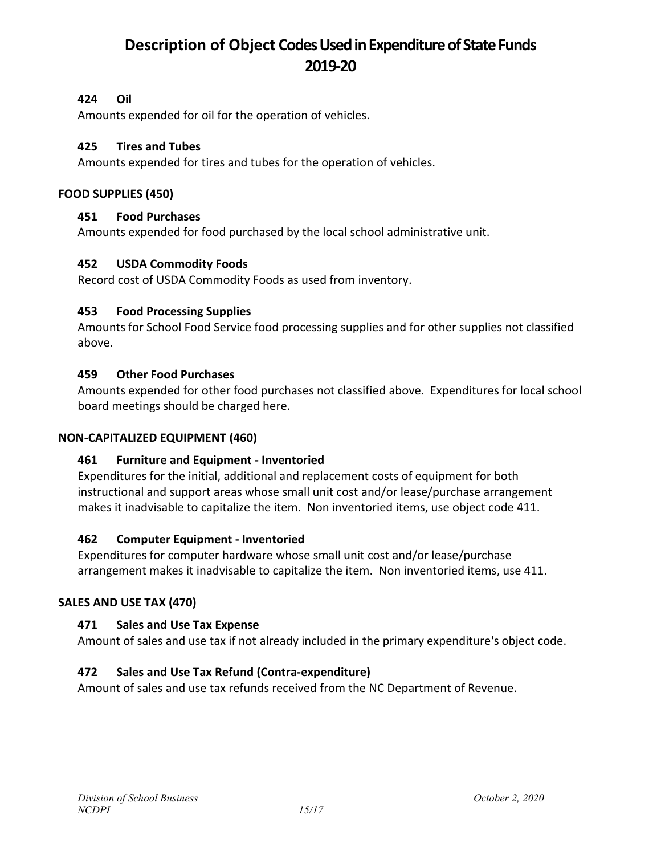## **424 Oil**

Amounts expended for oil for the operation of vehicles.

#### **425 Tires and Tubes**

Amounts expended for tires and tubes for the operation of vehicles.

#### **FOOD SUPPLIES (450)**

#### **451 Food Purchases**

Amounts expended for food purchased by the local school administrative unit.

#### **452 USDA Commodity Foods**

Record cost of USDA Commodity Foods as used from inventory.

#### **453 Food Processing Supplies**

Amounts for School Food Service food processing supplies and for other supplies not classified above.

#### **459 Other Food Purchases**

Amounts expended for other food purchases not classified above. Expenditures for local school board meetings should be charged here.

#### **NON-CAPITALIZED EQUIPMENT (460)**

#### **461 Furniture and Equipment - Inventoried**

Expenditures for the initial, additional and replacement costs of equipment for both instructional and support areas whose small unit cost and/or lease/purchase arrangement makes it inadvisable to capitalize the item. Non inventoried items, use object code 411.

#### **462 Computer Equipment - Inventoried**

Expenditures for computer hardware whose small unit cost and/or lease/purchase arrangement makes it inadvisable to capitalize the item. Non inventoried items, use 411.

#### **SALES AND USE TAX (470)**

#### **471 Sales and Use Tax Expense**

Amount of sales and use tax if not already included in the primary expenditure's object code.

#### **472 Sales and Use Tax Refund (Contra-expenditure)**

Amount of sales and use tax refunds received from the NC Department of Revenue.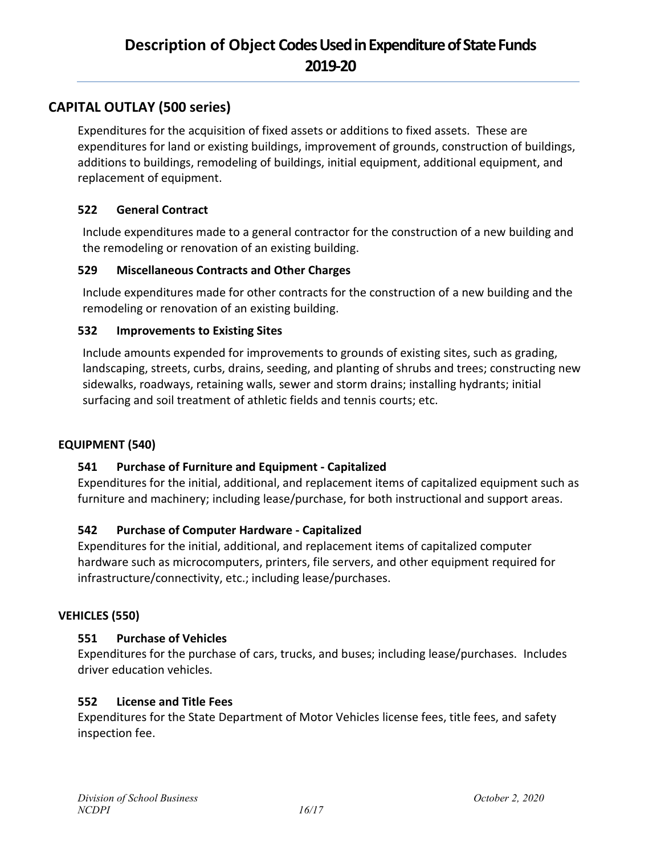## **CAPITAL OUTLAY (500 series)**

Expenditures for the acquisition of fixed assets or additions to fixed assets. These are expenditures for land or existing buildings, improvement of grounds, construction of buildings, additions to buildings, remodeling of buildings, initial equipment, additional equipment, and replacement of equipment.

#### **522 General Contract**

Include expenditures made to a general contractor for the construction of a new building and the remodeling or renovation of an existing building.

## **529 Miscellaneous Contracts and Other Charges**

Include expenditures made for other contracts for the construction of a new building and the remodeling or renovation of an existing building.

## **532 Improvements to Existing Sites**

Include amounts expended for improvements to grounds of existing sites, such as grading, landscaping, streets, curbs, drains, seeding, and planting of shrubs and trees; constructing new sidewalks, roadways, retaining walls, sewer and storm drains; installing hydrants; initial surfacing and soil treatment of athletic fields and tennis courts; etc.

#### **EQUIPMENT (540)**

## **541 Purchase of Furniture and Equipment - Capitalized**

Expenditures for the initial, additional, and replacement items of capitalized equipment such as furniture and machinery; including lease/purchase, for both instructional and support areas.

## **542 Purchase of Computer Hardware - Capitalized**

Expenditures for the initial, additional, and replacement items of capitalized computer hardware such as microcomputers, printers, file servers, and other equipment required for infrastructure/connectivity, etc.; including lease/purchases.

#### **VEHICLES (550)**

## **551 Purchase of Vehicles**

Expenditures for the purchase of cars, trucks, and buses; including lease/purchases. Includes driver education vehicles.

#### **552 License and Title Fees**

Expenditures for the State Department of Motor Vehicles license fees, title fees, and safety inspection fee.